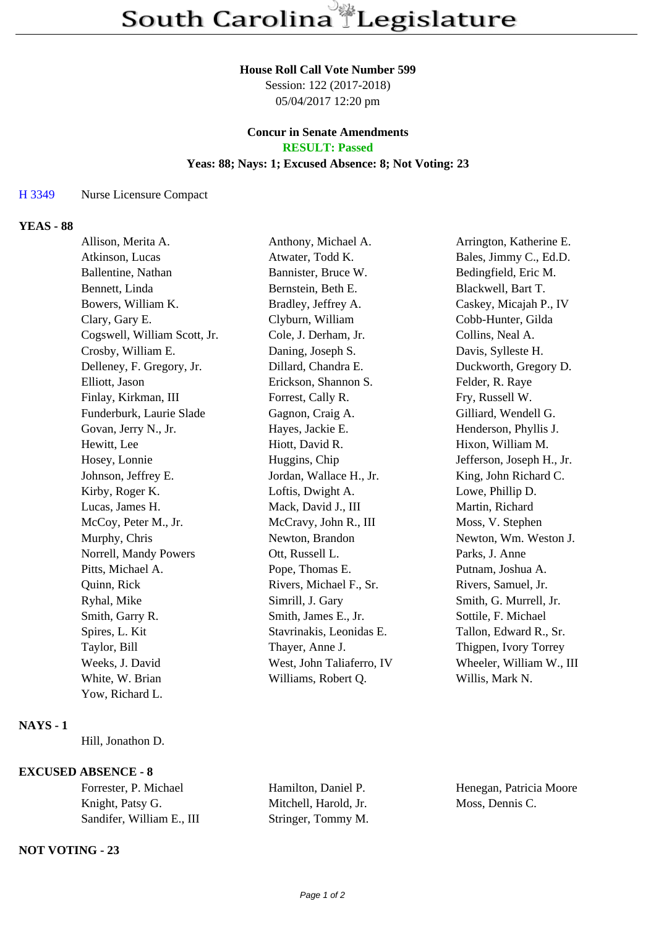#### **House Roll Call Vote Number 599**

Session: 122 (2017-2018) 05/04/2017 12:20 pm

#### **Concur in Senate Amendments RESULT: Passed**

# **Yeas: 88; Nays: 1; Excused Absence: 8; Not Voting: 23**

# H 3349 Nurse Licensure Compact

# **YEAS - 88**

| Allison, Merita A.           | Anthony, Michael A.       | Arrington, Katherine E.   |
|------------------------------|---------------------------|---------------------------|
| Atkinson, Lucas              | Atwater, Todd K.          | Bales, Jimmy C., Ed.D.    |
| Ballentine, Nathan           | Bannister, Bruce W.       | Bedingfield, Eric M.      |
| Bennett, Linda               | Bernstein, Beth E.        | Blackwell, Bart T.        |
| Bowers, William K.           | Bradley, Jeffrey A.       | Caskey, Micajah P., IV    |
| Clary, Gary E.               | Clyburn, William          | Cobb-Hunter, Gilda        |
| Cogswell, William Scott, Jr. | Cole, J. Derham, Jr.      | Collins, Neal A.          |
| Crosby, William E.           | Daning, Joseph S.         | Davis, Sylleste H.        |
| Delleney, F. Gregory, Jr.    | Dillard, Chandra E.       | Duckworth, Gregory D.     |
| Elliott, Jason               | Erickson, Shannon S.      | Felder, R. Raye           |
| Finlay, Kirkman, III         | Forrest, Cally R.         | Fry, Russell W.           |
| Funderburk, Laurie Slade     | Gagnon, Craig A.          | Gilliard, Wendell G.      |
| Govan, Jerry N., Jr.         | Hayes, Jackie E.          | Henderson, Phyllis J.     |
| Hewitt, Lee                  | Hiott, David R.           | Hixon, William M.         |
| Hosey, Lonnie                | Huggins, Chip             | Jefferson, Joseph H., Jr. |
| Johnson, Jeffrey E.          | Jordan, Wallace H., Jr.   | King, John Richard C.     |
| Kirby, Roger K.              | Loftis, Dwight A.         | Lowe, Phillip D.          |
| Lucas, James H.              | Mack, David J., III       | Martin, Richard           |
| McCoy, Peter M., Jr.         | McCravy, John R., III     | Moss, V. Stephen          |
| Murphy, Chris                | Newton, Brandon           | Newton, Wm. Weston J.     |
| Norrell, Mandy Powers        | Ott, Russell L.           | Parks, J. Anne            |
| Pitts, Michael A.            | Pope, Thomas E.           | Putnam, Joshua A.         |
| Quinn, Rick                  | Rivers, Michael F., Sr.   | Rivers, Samuel, Jr.       |
| Ryhal, Mike                  | Simrill, J. Gary          | Smith, G. Murrell, Jr.    |
| Smith, Garry R.              | Smith, James E., Jr.      | Sottile, F. Michael       |
| Spires, L. Kit               | Stavrinakis, Leonidas E.  | Tallon, Edward R., Sr.    |
| Taylor, Bill                 | Thayer, Anne J.           | Thigpen, Ivory Torrey     |
| Weeks, J. David              | West, John Taliaferro, IV | Wheeler, William W., III  |
| White, W. Brian              | Williams, Robert Q.       | Willis, Mark N.           |
| Yow, Richard L.              |                           |                           |
|                              |                           |                           |

## **NAYS - 1**

Hill, Jonathon D.

# **EXCUSED ABSENCE - 8**

Forrester, P. Michael Hamilton, Daniel P. Henegan, Patricia Moore Knight, Patsy G. Mitchell, Harold, Jr. Moss, Dennis C. Sandifer, William E., III Stringer, Tommy M.

## **NOT VOTING - 23**